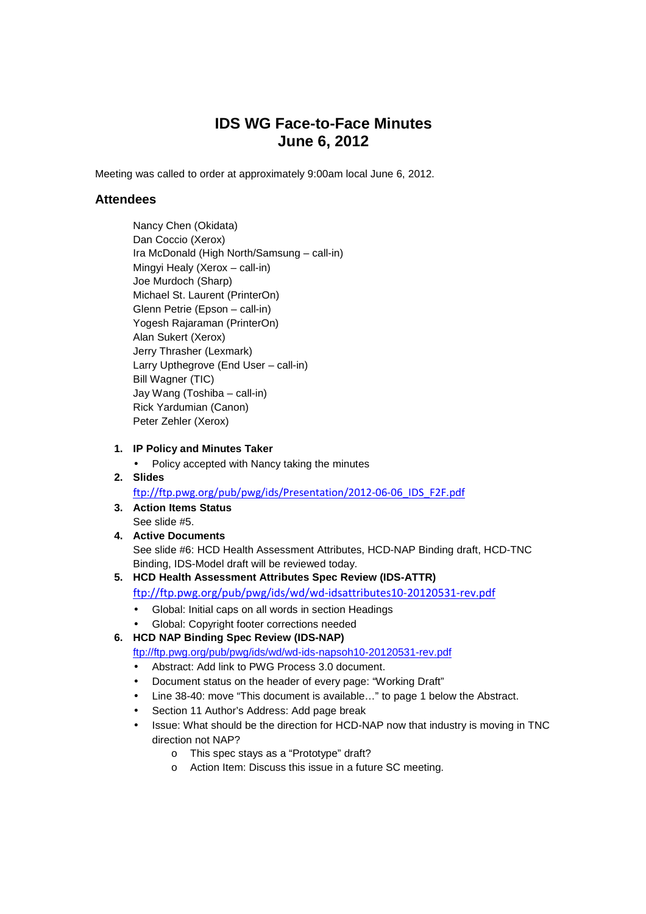# **IDS WG Face-to-Face Minutes June 6, 2012**

Meeting was called to order at approximately 9:00am local June 6, 2012.

## **Attendees**

 Nancy Chen (Okidata) Dan Coccio (Xerox) Ira McDonald (High North/Samsung – call-in) Mingyi Healy (Xerox – call-in) Joe Murdoch (Sharp) Michael St. Laurent (PrinterOn) Glenn Petrie (Epson – call-in) Yogesh Rajaraman (PrinterOn) Alan Sukert (Xerox) Jerry Thrasher (Lexmark) Larry Upthegrove (End User – call-in) Bill Wagner (TIC) Jay Wang (Toshiba – call-in) Rick Yardumian (Canon) Peter Zehler (Xerox)

#### **1. IP Policy and Minutes Taker**

- Policy accepted with Nancy taking the minutes
- **2. Slides**

ftp://ftp.pwg.org/pub/pwg/ids/Presentation/2012-06-06\_IDS\_F2F.pdf

- **3. Action Items Status**  See slide #5.
- **4. Active Documents**  See slide #6: HCD Health Assessment Attributes, HCD-NAP Binding draft, HCD-TNC Binding, IDS-Model draft will be reviewed today.
- **5. HCD Health Assessment Attributes Spec Review (IDS-ATTR)**  ftp://ftp.pwg.org/pub/pwg/ids/wd/wd-idsattributes10-20120531-rev.pdf
	- Global: Initial caps on all words in section Headings
	- Global: Copyright footer corrections needed

#### **6. HCD NAP Binding Spec Review (IDS-NAP)**

ftp://ftp.pwg.org/pub/pwg/ids/wd/wd-ids-napsoh10-20120531-rev.pdf

- Abstract: Add link to PWG Process 3.0 document.
- Document status on the header of every page: "Working Draft"
- Line 38-40: move "This document is available…" to page 1 below the Abstract.
- Section 11 Author's Address: Add page break
- Issue: What should be the direction for HCD-NAP now that industry is moving in TNC direction not NAP?
	- o This spec stays as a "Prototype" draft?
	- o Action Item: Discuss this issue in a future SC meeting.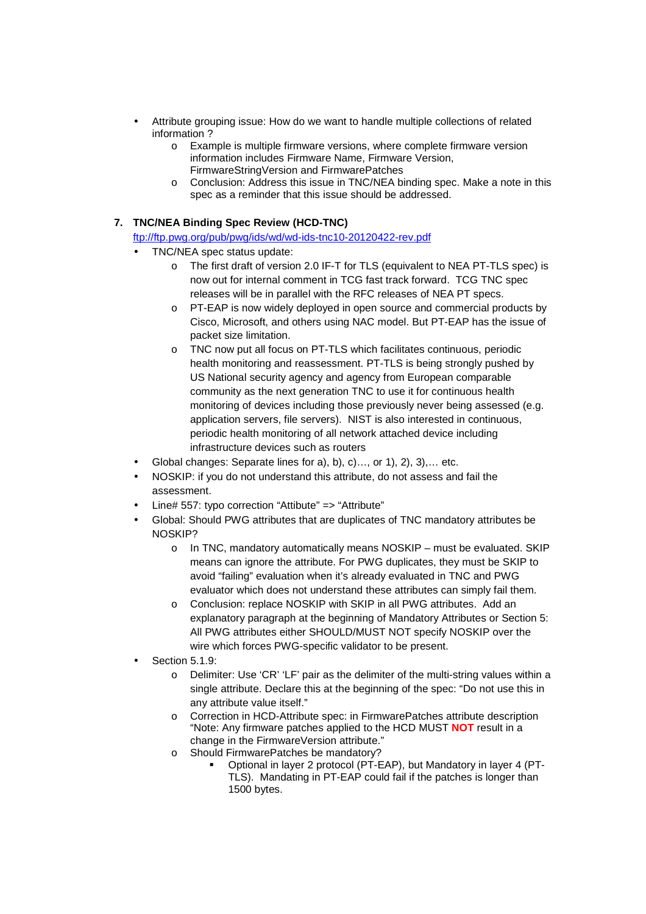- Attribute grouping issue: How do we want to handle multiple collections of related information ?
	- o Example is multiple firmware versions, where complete firmware version information includes Firmware Name, Firmware Version, FirmwareStringVersion and FirmwarePatches
	- o Conclusion: Address this issue in TNC/NEA binding spec. Make a note in this spec as a reminder that this issue should be addressed.
- **7. TNC/NEA Binding Spec Review (HCD-TNC)**

ftp://ftp.pwg.org/pub/pwg/ids/wd/wd-ids-tnc10-20120422-rev.pdf

- TNC/NEA spec status update:
	- o The first draft of version 2.0 IF-T for TLS (equivalent to NEA PT-TLS spec) is now out for internal comment in TCG fast track forward. TCG TNC spec releases will be in parallel with the RFC releases of NEA PT specs.
	- o PT-EAP is now widely deployed in open source and commercial products by Cisco, Microsoft, and others using NAC model. But PT-EAP has the issue of packet size limitation.
	- o TNC now put all focus on PT-TLS which facilitates continuous, periodic health monitoring and reassessment. PT-TLS is being strongly pushed by US National security agency and agency from European comparable community as the next generation TNC to use it for continuous health monitoring of devices including those previously never being assessed (e.g. application servers, file servers). NIST is also interested in continuous, periodic health monitoring of all network attached device including infrastructure devices such as routers
- Global changes: Separate lines for a), b), c)…, or 1), 2), 3),… etc.
- NOSKIP: if you do not understand this attribute, do not assess and fail the assessment.
- Line# 557: typo correction "Attibute" => "Attribute"
- Global: Should PWG attributes that are duplicates of TNC mandatory attributes be NOSKIP?
	- o In TNC, mandatory automatically means NOSKIP must be evaluated. SKIP means can ignore the attribute. For PWG duplicates, they must be SKIP to avoid "failing" evaluation when it's already evaluated in TNC and PWG evaluator which does not understand these attributes can simply fail them.
	- o Conclusion: replace NOSKIP with SKIP in all PWG attributes. Add an explanatory paragraph at the beginning of Mandatory Attributes or Section 5: All PWG attributes either SHOULD/MUST NOT specify NOSKIP over the wire which forces PWG-specific validator to be present.
- Section 5.1.9:
	- o Delimiter: Use 'CR' 'LF' pair as the delimiter of the multi-string values within a single attribute. Declare this at the beginning of the spec: "Do not use this in any attribute value itself."
	- o Correction in HCD-Attribute spec: in FirmwarePatches attribute description "Note: Any firmware patches applied to the HCD MUST **NOT** result in a change in the FirmwareVersion attribute."
	- o Should FirmwarePatches be mandatory?
		- Optional in layer 2 protocol (PT-EAP), but Mandatory in layer 4 (PT-TLS). Mandating in PT-EAP could fail if the patches is longer than 1500 bytes.